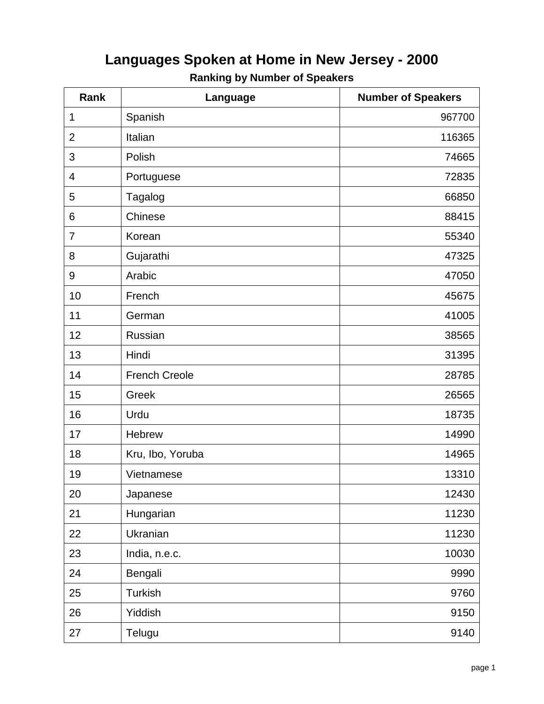## **Languages Spoken at Home in New Jersey - 2000**

## **Ranking by Number of Speakers**

| Rank           | Language             | <b>Number of Speakers</b> |
|----------------|----------------------|---------------------------|
| 1              | Spanish              | 967700                    |
| $\overline{2}$ | Italian              | 116365                    |
| 3              | Polish               | 74665                     |
| $\overline{4}$ | Portuguese           | 72835                     |
| 5              | Tagalog              | 66850                     |
| 6              | Chinese              | 88415                     |
| $\overline{7}$ | Korean               | 55340                     |
| 8              | Gujarathi            | 47325                     |
| $9\,$          | Arabic               | 47050                     |
| 10             | French               | 45675                     |
| 11             | German               | 41005                     |
| 12             | Russian              | 38565                     |
| 13             | Hindi                | 31395                     |
| 14             | <b>French Creole</b> | 28785                     |
| 15             | Greek                | 26565                     |
| 16             | Urdu                 | 18735                     |
| 17             | Hebrew               | 14990                     |
| 18             | Kru, Ibo, Yoruba     | 14965                     |
| 19             | Vietnamese           | 13310                     |
| 20             | Japanese             | 12430                     |
| 21             | Hungarian            | 11230                     |
| 22             | Ukranian             | 11230                     |
| 23             | India, n.e.c.        | 10030                     |
| 24             | Bengali              | 9990                      |
| 25             | <b>Turkish</b>       | 9760                      |
| 26             | Yiddish              | 9150                      |
| 27             | Telugu               | 9140                      |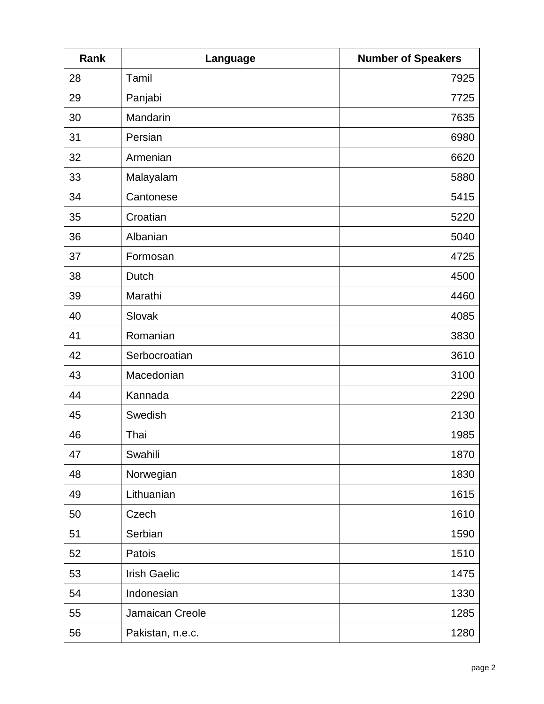| Rank | Language            | <b>Number of Speakers</b> |
|------|---------------------|---------------------------|
| 28   | Tamil               | 7925                      |
| 29   | Panjabi             | 7725                      |
| 30   | Mandarin            | 7635                      |
| 31   | Persian             | 6980                      |
| 32   | Armenian            | 6620                      |
| 33   | Malayalam           | 5880                      |
| 34   | Cantonese           | 5415                      |
| 35   | Croatian            | 5220                      |
| 36   | Albanian            | 5040                      |
| 37   | Formosan            | 4725                      |
| 38   | Dutch               | 4500                      |
| 39   | Marathi             | 4460                      |
| 40   | Slovak              | 4085                      |
| 41   | Romanian            | 3830                      |
| 42   | Serbocroatian       | 3610                      |
| 43   | Macedonian          | 3100                      |
| 44   | Kannada             | 2290                      |
| 45   | Swedish             | 2130                      |
| 46   | Thai                | 1985                      |
| 47   | Swahili             | 1870                      |
| 48   | Norwegian           | 1830                      |
| 49   | Lithuanian          | 1615                      |
| 50   | Czech               | 1610                      |
| 51   | Serbian             | 1590                      |
| 52   | Patois              | 1510                      |
| 53   | <b>Irish Gaelic</b> | 1475                      |
| 54   | Indonesian          | 1330                      |
| 55   | Jamaican Creole     | 1285                      |
| 56   | Pakistan, n.e.c.    | 1280                      |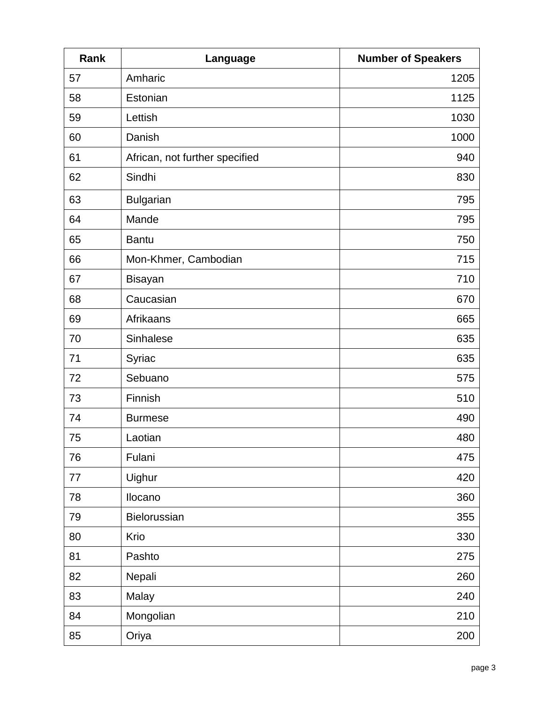| Rank | Language                       | <b>Number of Speakers</b> |
|------|--------------------------------|---------------------------|
| 57   | Amharic                        | 1205                      |
| 58   | Estonian                       | 1125                      |
| 59   | Lettish                        | 1030                      |
| 60   | Danish                         | 1000                      |
| 61   | African, not further specified | 940                       |
| 62   | Sindhi                         | 830                       |
| 63   | <b>Bulgarian</b>               | 795                       |
| 64   | Mande                          | 795                       |
| 65   | <b>Bantu</b>                   | 750                       |
| 66   | Mon-Khmer, Cambodian           | 715                       |
| 67   | <b>Bisayan</b>                 | 710                       |
| 68   | Caucasian                      | 670                       |
| 69   | Afrikaans                      | 665                       |
| 70   | Sinhalese                      | 635                       |
| 71   | Syriac                         | 635                       |
| 72   | Sebuano                        | 575                       |
| 73   | Finnish                        | 510                       |
| 74   | <b>Burmese</b>                 | 490                       |
| 75   | Laotian                        | 480                       |
| 76   | Fulani                         | 475                       |
| 77   | <b>Uighur</b>                  | 420                       |
| 78   | Ilocano                        | 360                       |
| 79   | Bielorussian                   | 355                       |
| 80   | Krio                           | 330                       |
| 81   | Pashto                         | 275                       |
| 82   | Nepali                         | 260                       |
| 83   | Malay                          | 240                       |
| 84   | Mongolian                      | 210                       |
| 85   | Oriya                          | 200                       |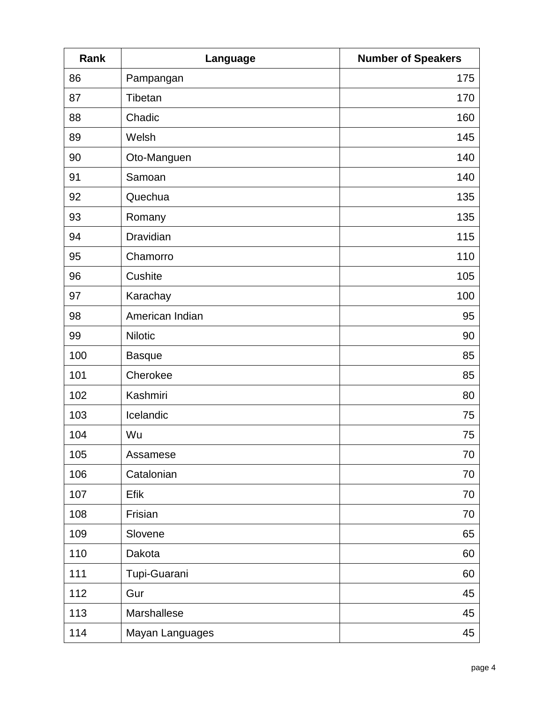| Rank | Language        | <b>Number of Speakers</b> |
|------|-----------------|---------------------------|
| 86   | Pampangan       | 175                       |
| 87   | Tibetan         | 170                       |
| 88   | Chadic          | 160                       |
| 89   | Welsh           | 145                       |
| 90   | Oto-Manguen     | 140                       |
| 91   | Samoan          | 140                       |
| 92   | Quechua         | 135                       |
| 93   | Romany          | 135                       |
| 94   | Dravidian       | 115                       |
| 95   | Chamorro        | 110                       |
| 96   | Cushite         | 105                       |
| 97   | Karachay        | 100                       |
| 98   | American Indian | 95                        |
| 99   | <b>Nilotic</b>  | 90                        |
| 100  | <b>Basque</b>   | 85                        |
| 101  | Cherokee        | 85                        |
| 102  | Kashmiri        | 80                        |
| 103  | Icelandic       | 75                        |
| 104  | Wu              | 75                        |
| 105  | Assamese        | 70                        |
| 106  | Catalonian      | 70                        |
| 107  | Efik            | 70                        |
| 108  | Frisian         | 70                        |
| 109  | Slovene         | 65                        |
| 110  | Dakota          | 60                        |
| 111  | Tupi-Guarani    | 60                        |
| 112  | Gur             | 45                        |
| 113  | Marshallese     | 45                        |
| 114  | Mayan Languages | 45                        |